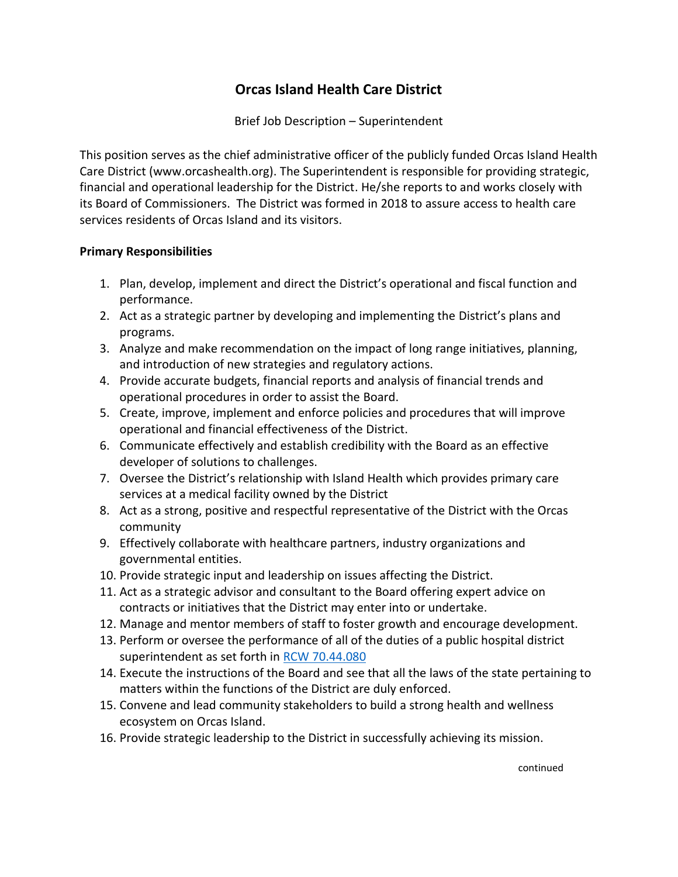## **Orcas Island Health Care District**

Brief Job Description – Superintendent

This position serves as the chief administrative officer of the publicly funded Orcas Island Health Care District (www.orcashealth.org). The Superintendent is responsible for providing strategic, financial and operational leadership for the District. He/she reports to and works closely with its Board of Commissioners. The District was formed in 2018 to assure access to health care services residents of Orcas Island and its visitors.

## **Primary Responsibilities**

- 1. Plan, develop, implement and direct the District's operational and fiscal function and performance.
- 2. Act as a strategic partner by developing and implementing the District's plans and programs.
- 3. Analyze and make recommendation on the impact of long range initiatives, planning, and introduction of new strategies and regulatory actions.
- 4. Provide accurate budgets, financial reports and analysis of financial trends and operational procedures in order to assist the Board.
- 5. Create, improve, implement and enforce policies and procedures that will improve operational and financial effectiveness of the District.
- 6. Communicate effectively and establish credibility with the Board as an effective developer of solutions to challenges.
- 7. Oversee the District's relationship with Island Health which provides primary care services at a medical facility owned by the District
- 8. Act as a strong, positive and respectful representative of the District with the Orcas community
- 9. Effectively collaborate with healthcare partners, industry organizations and governmental entities.
- 10. Provide strategic input and leadership on issues affecting the District.
- 11. Act as a strategic advisor and consultant to the Board offering expert advice on contracts or initiatives that the District may enter into or undertake.
- 12. Manage and mentor members of staff to foster growth and encourage development.
- 13. Perform or oversee the performance of all of the duties of a public hospital district superintendent as set forth in [RCW 70.44.080](https://app.leg.wa.gov/rcw/default.aspx?cite=70.44.080)
- 14. Execute the instructions of the Board and see that all the laws of the state pertaining to matters within the functions of the District are duly enforced.
- 15. Convene and lead community stakeholders to build a strong health and wellness ecosystem on Orcas Island.
- 16. Provide strategic leadership to the District in successfully achieving its mission.

continued